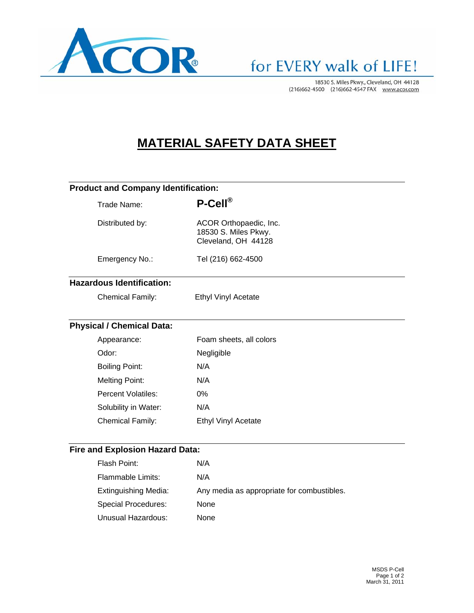

# for EVERY walk of LIFE!

18530 S. Miles Pkwy., Cleveland, OH 44128 (216)662-4500 (216)662-4547 FAX www.acor.com

## **MATERIAL SAFETY DATA SHEET**

#### **Product and Company Identification:**

| Trade Name:                      | $P-Cell^{\circledR}$                                                  |  |
|----------------------------------|-----------------------------------------------------------------------|--|
| Distributed by:                  | ACOR Orthopaedic, Inc.<br>18530 S. Miles Pkwy.<br>Cleveland, OH 44128 |  |
| Emergency No.:                   | Tel (216) 662-4500                                                    |  |
| <b>Hazardous Identification:</b> |                                                                       |  |
| <b>Chemical Family:</b>          | <b>Ethyl Vinyl Acetate</b>                                            |  |
|                                  |                                                                       |  |
| <b>Physical / Chemical Data:</b> |                                                                       |  |
| Appearance:                      | Foam sheets, all colors                                               |  |
| Odor:                            | Negligible                                                            |  |
| <b>Boiling Point:</b>            | N/A                                                                   |  |
| <b>Melting Point:</b>            | N/A                                                                   |  |
| <b>Percent Volatiles:</b>        | 0%                                                                    |  |
| Solubility in Water:             | N/A                                                                   |  |

### **Fire and Explosion Hazard Data:**

Chemical Family: Ethyl Vinyl Acetate

| Flash Point:         | N/A                                        |
|----------------------|--------------------------------------------|
| Flammable Limits:    | N/A                                        |
| Extinguishing Media: | Any media as appropriate for combustibles. |
| Special Procedures:  | None                                       |
| Unusual Hazardous:   | None                                       |